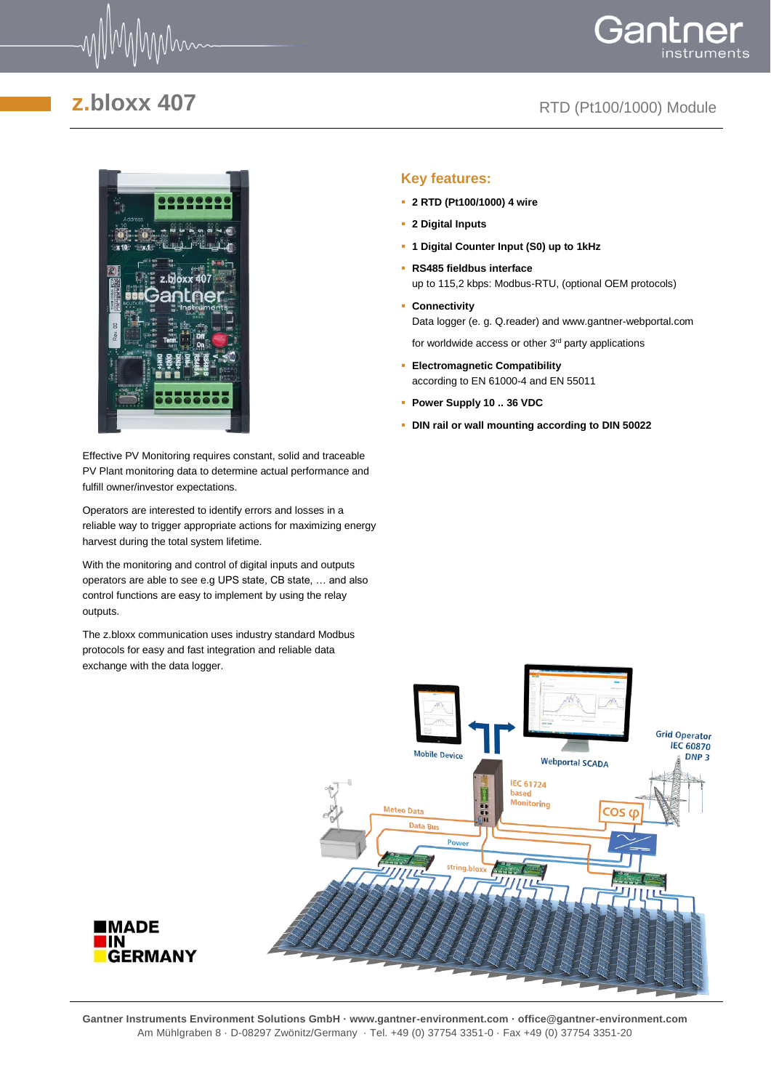

# Gantne

## **z.bloxx 407** RTD (Pt100/1000) Module



Effective PV Monitoring requires constant, solid and traceable PV Plant monitoring data to determine actual performance and fulfill owner/investor expectations.

Operators are interested to identify errors and losses in a reliable way to trigger appropriate actions for maximizing energy harvest during the total system lifetime.

With the monitoring and control of digital inputs and outputs operators are able to see e.g UPS state, CB state, … and also control functions are easy to implement by using the relay outputs.

The z.bloxx communication uses industry standard Modbus protocols for easy and fast integration and reliable data exchange with the data logger.

### **Key features:**

- **2 RTD (Pt100/1000) 4 wire**
- **2 Digital Inputs**
- **1 Digital Counter Input (S0) up to 1kHz**
- **RS485 fieldbus interface** up to 115,2 kbps: Modbus-RTU, (optional OEM protocols)
- **Connectivity**  Data logger (e. g. Q.reader) and www.gantner-webportal.com

for worldwide access or other  $3<sup>rd</sup>$  party applications

- **Electromagnetic Compatibility** according to EN 61000-4 and EN 55011
- **Power Supply 10 .. 36 VDC**
- **DIN rail or wall mounting according to DIN 50022**



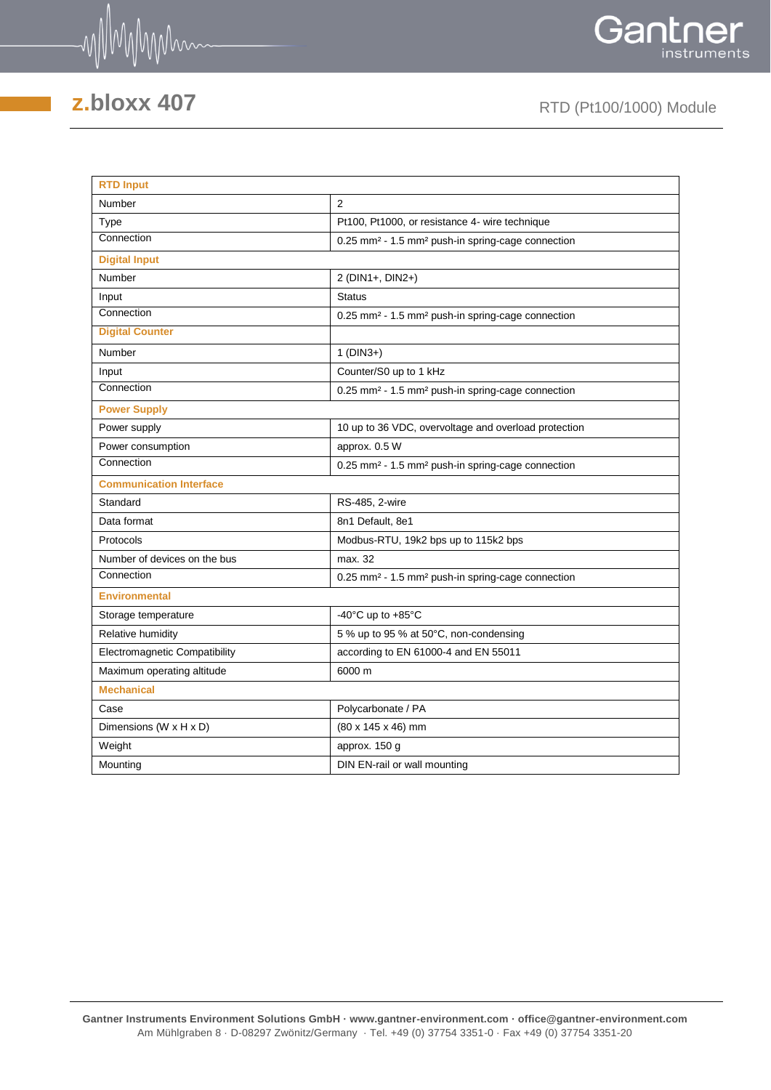



## **z.bloxx 407** RTD (Pt100/1000) Module

| <b>RTD Input</b>                     |                                                                           |  |  |  |  |  |
|--------------------------------------|---------------------------------------------------------------------------|--|--|--|--|--|
| Number                               | $\overline{2}$                                                            |  |  |  |  |  |
| Type                                 | Pt100, Pt1000, or resistance 4- wire technique                            |  |  |  |  |  |
| Connection                           | 0.25 mm <sup>2</sup> - 1.5 mm <sup>2</sup> push-in spring-cage connection |  |  |  |  |  |
| <b>Digital Input</b>                 |                                                                           |  |  |  |  |  |
| Number                               | 2 (DIN1+, DIN2+)                                                          |  |  |  |  |  |
| Input                                | <b>Status</b>                                                             |  |  |  |  |  |
| Connection                           | 0.25 mm <sup>2</sup> - 1.5 mm <sup>2</sup> push-in spring-cage connection |  |  |  |  |  |
| <b>Digital Counter</b>               |                                                                           |  |  |  |  |  |
| Number                               | $1(DIN3+)$                                                                |  |  |  |  |  |
| Input                                | Counter/S0 up to 1 kHz                                                    |  |  |  |  |  |
| Connection                           | 0.25 mm <sup>2</sup> - 1.5 mm <sup>2</sup> push-in spring-cage connection |  |  |  |  |  |
| <b>Power Supply</b>                  |                                                                           |  |  |  |  |  |
| Power supply                         | 10 up to 36 VDC, overvoltage and overload protection                      |  |  |  |  |  |
| Power consumption                    | approx. 0.5 W                                                             |  |  |  |  |  |
| Connection                           | 0.25 mm <sup>2</sup> - 1.5 mm <sup>2</sup> push-in spring-cage connection |  |  |  |  |  |
| <b>Communication Interface</b>       |                                                                           |  |  |  |  |  |
| Standard                             | RS-485, 2-wire                                                            |  |  |  |  |  |
| Data format                          | 8n1 Default, 8e1                                                          |  |  |  |  |  |
| Protocols                            | Modbus-RTU, 19k2 bps up to 115k2 bps                                      |  |  |  |  |  |
| Number of devices on the bus         | max. 32                                                                   |  |  |  |  |  |
| Connection                           | 0.25 mm <sup>2</sup> - 1.5 mm <sup>2</sup> push-in spring-cage connection |  |  |  |  |  |
| <b>Environmental</b>                 |                                                                           |  |  |  |  |  |
| Storage temperature                  | -40 $^{\circ}$ C up to +85 $^{\circ}$ C                                   |  |  |  |  |  |
| Relative humidity                    | 5 % up to 95 % at 50°C, non-condensing                                    |  |  |  |  |  |
| <b>Electromagnetic Compatibility</b> | according to EN 61000-4 and EN 55011                                      |  |  |  |  |  |
| Maximum operating altitude           | 6000 m                                                                    |  |  |  |  |  |
| <b>Mechanical</b>                    |                                                                           |  |  |  |  |  |
| Case                                 | Polycarbonate / PA                                                        |  |  |  |  |  |
| Dimensions (W x H x D)               | $(80 \times 145 \times 46)$ mm                                            |  |  |  |  |  |
| Weight                               | approx. 150 g                                                             |  |  |  |  |  |
| Mounting                             | DIN EN-rail or wall mounting                                              |  |  |  |  |  |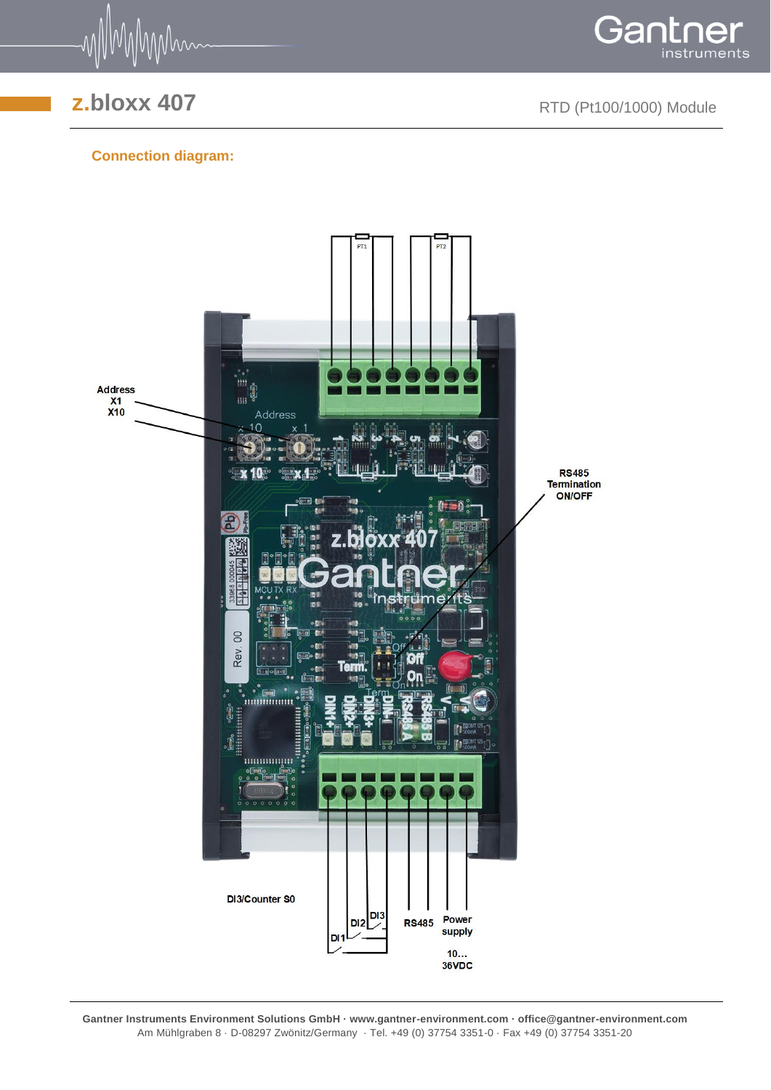

**z.bloxx 407** RTD (Pt100/1000) Module

Gant

instruments

## **Connection diagram:**



**Gantner Instruments Environment Solutions GmbH · www.gantner-environment.com · office@gantner-environment.com** Am Mühlgraben 8 · D-08297 Zwönitz/Germany · Tel. +49 (0) 37754 3351-0 · Fax +49 (0) 37754 3351-20